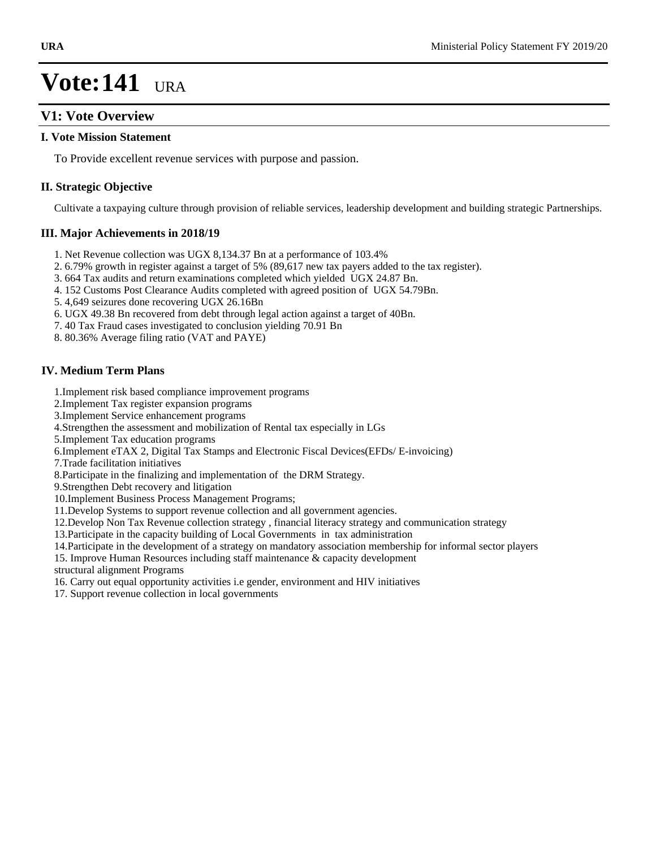### **V1: Vote Overview**

#### **I. Vote Mission Statement**

To Provide excellent revenue services with purpose and passion.

#### **II. Strategic Objective**

Cultivate a taxpaying culture through provision of reliable services, leadership development and building strategic Partnerships.

### **III. Major Achievements in 2018/19**

- 1. Net Revenue collection was UGX 8,134.37 Bn at a performance of 103.4%
- 2. 6.79% growth in register against a target of 5% (89,617 new tax payers added to the tax register).
- 3. 664 Tax audits and return examinations completed which yielded UGX 24.87 Bn.
- 4. 152 Customs Post Clearance Audits completed with agreed position of UGX 54.79Bn.
- 5. 4,649 seizures done recovering UGX 26.16Bn
- 6. UGX 49.38 Bn recovered from debt through legal action against a target of 40Bn.
- 7. 40 Tax Fraud cases investigated to conclusion yielding 70.91 Bn
- 8. 80.36% Average filing ratio (VAT and PAYE)

### **IV. Medium Term Plans**

- 1.Implement risk based compliance improvement programs
- 2.Implement Tax register expansion programs
- 3.Implement Service enhancement programs
- 4.Strengthen the assessment and mobilization of Rental tax especially in LGs
- 5.Implement Tax education programs
- 6.Implement eTAX 2, Digital Tax Stamps and Electronic Fiscal Devices(EFDs/ E-invoicing)
- 7.Trade facilitation initiatives
- 8.Participate in the finalizing and implementation of the DRM Strategy.
- 9.Strengthen Debt recovery and litigation
- 10.Implement Business Process Management Programs;
- 11.Develop Systems to support revenue collection and all government agencies.
- 12.Develop Non Tax Revenue collection strategy , financial literacy strategy and communication strategy
- 13.Participate in the capacity building of Local Governments in tax administration
- 14.Participate in the development of a strategy on mandatory association membership for informal sector players
- 15. Improve Human Resources including staff maintenance & capacity development
- structural alignment Programs
- 16. Carry out equal opportunity activities i.e gender, environment and HIV initiatives
- 17. Support revenue collection in local governments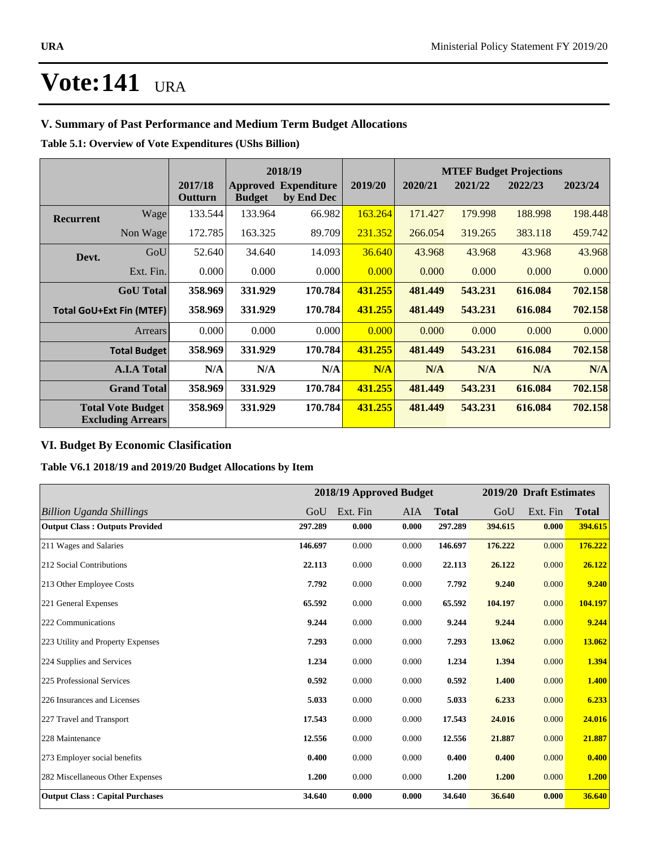### **V. Summary of Past Performance and Medium Term Budget Allocations**

### **Table 5.1: Overview of Vote Expenditures (UShs Billion)**

|           |                                                      |                    | 2018/19       |                                           |         | <b>MTEF Budget Projections</b> |         |         |         |
|-----------|------------------------------------------------------|--------------------|---------------|-------------------------------------------|---------|--------------------------------|---------|---------|---------|
|           |                                                      | 2017/18<br>Outturn | <b>Budget</b> | <b>Approved Expenditure</b><br>by End Dec | 2019/20 | 2020/21                        | 2021/22 | 2022/23 | 2023/24 |
| Recurrent | Wagel                                                | 133.544            | 133.964       | 66.982                                    | 163.264 | 171.427                        | 179.998 | 188.998 | 198.448 |
|           | Non Wage                                             | 172.785            | 163.325       | 89.709                                    | 231.352 | 266.054                        | 319.265 | 383.118 | 459.742 |
| Devt.     | GoU                                                  | 52.640             | 34.640        | 14.093                                    | 36.640  | 43.968                         | 43.968  | 43.968  | 43.968  |
|           | Ext. Fin.                                            | 0.000              | 0.000         | 0.000                                     | 0.000   | 0.000                          | 0.000   | 0.000   | 0.000   |
|           | <b>GoU</b> Total                                     | 358.969            | 331.929       | 170.784                                   | 431.255 | 481.449                        | 543.231 | 616.084 | 702.158 |
|           | <b>Total GoU+Ext Fin (MTEF)</b>                      | 358.969            | 331.929       | 170.784                                   | 431.255 | 481.449                        | 543.231 | 616.084 | 702.158 |
|           | Arrears                                              | 0.000              | 0.000         | 0.000                                     | 0.000   | 0.000                          | 0.000   | 0.000   | 0.000   |
|           | <b>Total Budget</b>                                  | 358.969            | 331.929       | 170.784                                   | 431.255 | 481.449                        | 543.231 | 616.084 | 702.158 |
|           | <b>A.I.A Total</b>                                   | N/A                | N/A           | N/A                                       | N/A     | N/A                            | N/A     | N/A     | N/A     |
|           | <b>Grand Total</b>                                   | 358.969            | 331.929       | 170.784                                   | 431.255 | 481.449                        | 543.231 | 616.084 | 702.158 |
|           | <b>Total Vote Budget</b><br><b>Excluding Arrears</b> | 358.969            | 331.929       | 170.784                                   | 431.255 | 481.449                        | 543.231 | 616.084 | 702.158 |

### **VI. Budget By Economic Clasification**

### **Table V6.1 2018/19 and 2019/20 Budget Allocations by Item**

|                                        |         |          | 2018/19 Approved Budget |              |         | 2019/20 Draft Estimates |              |
|----------------------------------------|---------|----------|-------------------------|--------------|---------|-------------------------|--------------|
| <b>Billion Uganda Shillings</b>        | GoU     | Ext. Fin | <b>AIA</b>              | <b>Total</b> | GoU     | Ext. Fin                | <b>Total</b> |
| <b>Output Class: Outputs Provided</b>  | 297.289 | 0.000    | 0.000                   | 297.289      | 394.615 | 0.000                   | 394.615      |
| 211 Wages and Salaries                 | 146.697 | 0.000    | 0.000                   | 146.697      | 176.222 | 0.000                   | 176.222      |
| 212 Social Contributions               | 22.113  | 0.000    | 0.000                   | 22.113       | 26.122  | 0.000                   | 26.122       |
| 213 Other Employee Costs               | 7.792   | 0.000    | 0.000                   | 7.792        | 9.240   | 0.000                   | 9.240        |
| 221 General Expenses                   | 65.592  | 0.000    | 0.000                   | 65.592       | 104.197 | 0.000                   | 104.197      |
| 222 Communications                     | 9.244   | 0.000    | 0.000                   | 9.244        | 9.244   | 0.000                   | 9.244        |
| 223 Utility and Property Expenses      | 7.293   | 0.000    | 0.000                   | 7.293        | 13.062  | 0.000                   | 13.062       |
| 224 Supplies and Services              | 1.234   | 0.000    | 0.000                   | 1.234        | 1.394   | 0.000                   | 1.394        |
| 225 Professional Services              | 0.592   | 0.000    | 0.000                   | 0.592        | 1.400   | 0.000                   | 1.400        |
| 226 Insurances and Licenses            | 5.033   | 0.000    | 0.000                   | 5.033        | 6.233   | 0.000                   | 6.233        |
| 227 Travel and Transport               | 17.543  | 0.000    | 0.000                   | 17.543       | 24.016  | 0.000                   | 24.016       |
| 228 Maintenance                        | 12.556  | 0.000    | 0.000                   | 12.556       | 21.887  | 0.000                   | 21.887       |
| 273 Employer social benefits           | 0.400   | 0.000    | 0.000                   | 0.400        | 0.400   | 0.000                   | 0.400        |
| 282 Miscellaneous Other Expenses       | 1.200   | 0.000    | 0.000                   | 1.200        | 1.200   | 0.000                   | 1.200        |
| <b>Output Class: Capital Purchases</b> | 34.640  | 0.000    | 0.000                   | 34.640       | 36.640  | 0.000                   | 36.640       |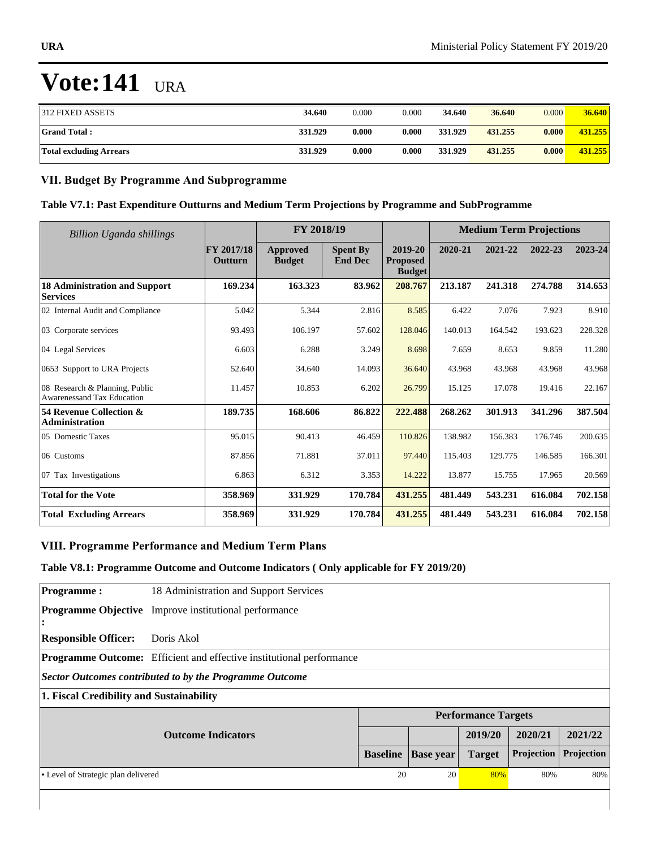| 312 FIXED ASSETS               | 34.640  | 0.000 | 0.000 | 34.640  | 36.640  | 0.000 | 36.640  |
|--------------------------------|---------|-------|-------|---------|---------|-------|---------|
| <b>Grand Total:</b>            | 331.929 | 0.000 | 0.000 | 331.929 | 431.255 | 0.000 | 431.255 |
| <b>Total excluding Arrears</b> | 331.929 | 0.000 | 0.000 | 331.929 | 431.255 | 0.000 | 431.255 |

### **VII. Budget By Programme And Subprogramme**

### **Table V7.1: Past Expenditure Outturns and Medium Term Projections by Programme and SubProgramme**

| <b>Billion Uganda shillings</b>                                     |                              | FY 2018/19                       |                                   |                                             | <b>Medium Term Projections</b> |         |         |         |
|---------------------------------------------------------------------|------------------------------|----------------------------------|-----------------------------------|---------------------------------------------|--------------------------------|---------|---------|---------|
|                                                                     | FY 2017/18<br><b>Outturn</b> | <b>Approved</b><br><b>Budget</b> | <b>Spent By</b><br><b>End Dec</b> | 2019-20<br><b>Proposed</b><br><b>Budget</b> | 2020-21                        | 2021-22 | 2022-23 | 2023-24 |
| <b>18 Administration and Support</b><br><b>Services</b>             | 169.234                      | 163.323                          | 83.962                            | 208.767                                     | 213.187                        | 241.318 | 274.788 | 314.653 |
| 02 Internal Audit and Compliance                                    | 5.042                        | 5.344                            | 2.816                             | 8.585                                       | 6.422                          | 7.076   | 7.923   | 8.910   |
| 03 Corporate services                                               | 93.493                       | 106.197                          | 57.602                            | 128.046                                     | 140.013                        | 164.542 | 193.623 | 228.328 |
| 04 Legal Services                                                   | 6.603                        | 6.288                            | 3.249                             | 8.698                                       | 7.659                          | 8.653   | 9.859   | 11.280  |
| 0653 Support to URA Projects                                        | 52.640                       | 34.640                           | 14.093                            | 36.640                                      | 43.968                         | 43.968  | 43.968  | 43.968  |
| 08 Research & Planning, Public<br><b>Awarenessand Tax Education</b> | 11.457                       | 10.853                           | 6.202                             | 26.799                                      | 15.125                         | 17.078  | 19.416  | 22.167  |
| 54 Revenue Collection &<br><b>Administration</b>                    | 189.735                      | 168.606                          | 86.822                            | 222.488                                     | 268.262                        | 301.913 | 341.296 | 387.504 |
| 05 Domestic Taxes                                                   | 95.015                       | 90.413                           | 46.459                            | 110.826                                     | 138.982                        | 156.383 | 176.746 | 200.635 |
| 06 Customs                                                          | 87.856                       | 71.881                           | 37.011                            | 97.440                                      | 115.403                        | 129.775 | 146.585 | 166.301 |
| 07 Tax Investigations                                               | 6.863                        | 6.312                            | 3.353                             | 14.222                                      | 13.877                         | 15.755  | 17.965  | 20.569  |
| <b>Total for the Vote</b>                                           | 358.969                      | 331.929                          | 170.784                           | 431.255                                     | 481.449                        | 543.231 | 616.084 | 702.158 |
| <b>Total Excluding Arrears</b>                                      | 358.969                      | 331.929                          | 170.784                           | 431.255                                     | 481.449                        | 543.231 | 616.084 | 702.158 |

### **VIII. Programme Performance and Medium Term Plans**

### **Table V8.1: Programme Outcome and Outcome Indicators ( Only applicable for FY 2019/20)**

| <b>Programme:</b>                        | 18 Administration and Support Services                               |                 |                  |                            |            |            |  |  |
|------------------------------------------|----------------------------------------------------------------------|-----------------|------------------|----------------------------|------------|------------|--|--|
| $\ddot{\cdot}$                           | <b>Programme Objective</b> Improve institutional performance         |                 |                  |                            |            |            |  |  |
| <b>Responsible Officer:</b>              | Doris Akol                                                           |                 |                  |                            |            |            |  |  |
|                                          | Programme Outcome: Efficient and effective institutional performance |                 |                  |                            |            |            |  |  |
|                                          | <b>Sector Outcomes contributed to by the Programme Outcome</b>       |                 |                  |                            |            |            |  |  |
| 1. Fiscal Credibility and Sustainability |                                                                      |                 |                  |                            |            |            |  |  |
|                                          |                                                                      |                 |                  | <b>Performance Targets</b> |            |            |  |  |
|                                          | <b>Outcome Indicators</b>                                            |                 |                  | 2019/20                    | 2020/21    | 2021/22    |  |  |
|                                          |                                                                      | <b>Baseline</b> | <b>Base year</b> | <b>Target</b>              | Projection | Projection |  |  |
| • Level of Strategic plan delivered      |                                                                      | 20              | 20               | 80%                        | 80%        | 80%        |  |  |
|                                          |                                                                      |                 |                  |                            |            |            |  |  |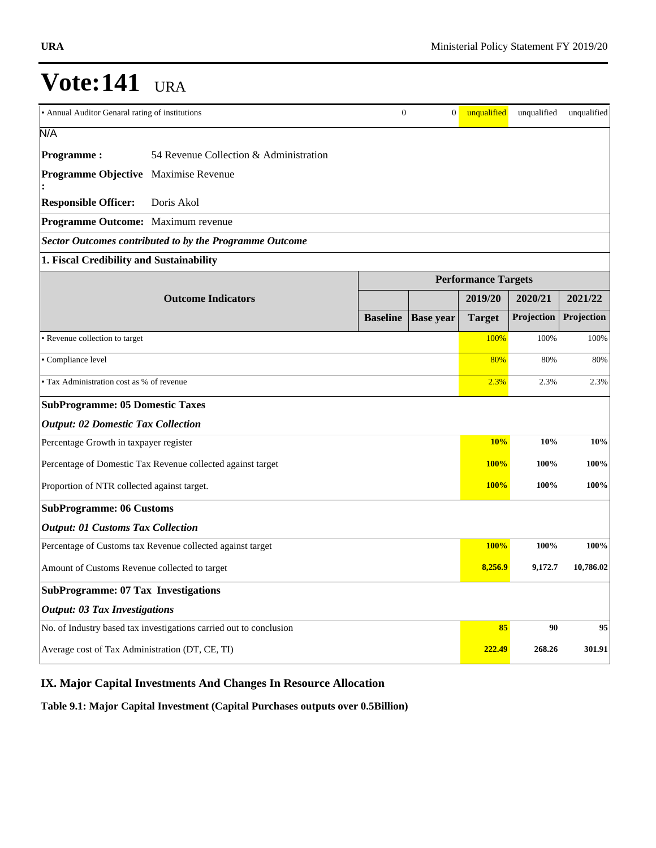|                                                                    |                                                                | $\overline{0}$  |                  |                            |                     |             |
|--------------------------------------------------------------------|----------------------------------------------------------------|-----------------|------------------|----------------------------|---------------------|-------------|
| • Annual Auditor Genaral rating of institutions                    |                                                                |                 | $\boldsymbol{0}$ | unqualified                | unqualified         | unqualified |
| N/A                                                                |                                                                |                 |                  |                            |                     |             |
| <b>Programme:</b>                                                  | 54 Revenue Collection & Administration                         |                 |                  |                            |                     |             |
| Programme Objective Maximise Revenue                               |                                                                |                 |                  |                            |                     |             |
| <b>Responsible Officer:</b>                                        | Doris Akol                                                     |                 |                  |                            |                     |             |
| Programme Outcome: Maximum revenue                                 |                                                                |                 |                  |                            |                     |             |
|                                                                    | <b>Sector Outcomes contributed to by the Programme Outcome</b> |                 |                  |                            |                     |             |
| 1. Fiscal Credibility and Sustainability                           |                                                                |                 |                  |                            |                     |             |
|                                                                    |                                                                |                 |                  | <b>Performance Targets</b> |                     |             |
|                                                                    | <b>Outcome Indicators</b>                                      |                 |                  | 2019/20                    | 2020/21             | 2021/22     |
|                                                                    |                                                                | <b>Baseline</b> | <b>Base</b> year | <b>Target</b>              | Projection          | Projection  |
| · Revenue collection to target                                     |                                                                |                 |                  | 100%                       | 100%                | 100%        |
| · Compliance level                                                 |                                                                |                 |                  | 80%                        | 80%                 | 80%         |
| • Tax Administration cost as % of revenue                          |                                                                |                 | 2.3%             | 2.3%                       | 2.3%                |             |
| <b>SubProgramme: 05 Domestic Taxes</b>                             |                                                                |                 |                  |                            |                     |             |
| <b>Output: 02 Domestic Tax Collection</b>                          |                                                                |                 |                  |                            |                     |             |
| Percentage Growth in taxpayer register                             |                                                                |                 |                  | <b>10%</b>                 | 10%                 | 10%         |
|                                                                    | Percentage of Domestic Tax Revenue collected against target    |                 |                  | <b>100%</b>                | 100%                | 100%        |
| Proportion of NTR collected against target.                        |                                                                |                 |                  | <b>100%</b>                | 100%                | 100%        |
| <b>SubProgramme: 06 Customs</b>                                    |                                                                |                 |                  |                            |                     |             |
| <b>Output: 01 Customs Tax Collection</b>                           |                                                                |                 |                  |                            |                     |             |
| Percentage of Customs tax Revenue collected against target         |                                                                |                 |                  |                            | <b>100%</b><br>100% | 100%        |
| Amount of Customs Revenue collected to target                      |                                                                |                 |                  |                            | 8,256.9<br>9,172.7  | 10,786.02   |
| <b>SubProgramme: 07 Tax Investigations</b>                         |                                                                |                 |                  |                            |                     |             |
| <b>Output: 03 Tax Investigations</b>                               |                                                                |                 |                  |                            |                     |             |
| No. of Industry based tax investigations carried out to conclusion |                                                                |                 |                  | 85                         | 90                  | 95          |
| Average cost of Tax Administration (DT, CE, TI)                    |                                                                |                 |                  |                            | 222.49<br>268.26    | 301.91      |

### **IX. Major Capital Investments And Changes In Resource Allocation**

**Table 9.1: Major Capital Investment (Capital Purchases outputs over 0.5Billion)**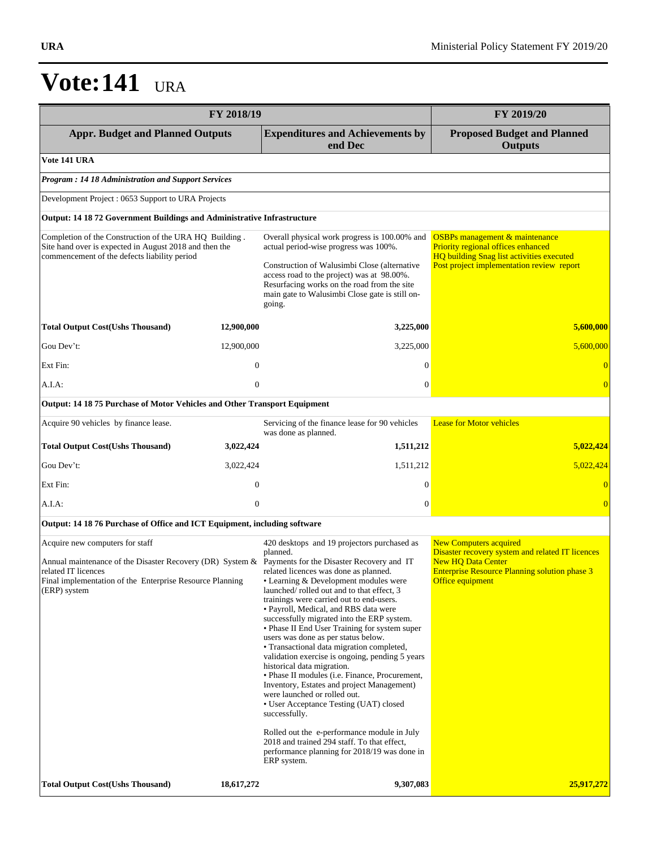|                                                                                                                                                                                                                                           | FY 2019/20       |                                                                                                                                                                                                                                                                                                                                                                                                                                                                                                                                                                                                                                                                                                                                                                                                                                                                                                         |                                                                                                                                                                                            |
|-------------------------------------------------------------------------------------------------------------------------------------------------------------------------------------------------------------------------------------------|------------------|---------------------------------------------------------------------------------------------------------------------------------------------------------------------------------------------------------------------------------------------------------------------------------------------------------------------------------------------------------------------------------------------------------------------------------------------------------------------------------------------------------------------------------------------------------------------------------------------------------------------------------------------------------------------------------------------------------------------------------------------------------------------------------------------------------------------------------------------------------------------------------------------------------|--------------------------------------------------------------------------------------------------------------------------------------------------------------------------------------------|
| <b>Appr. Budget and Planned Outputs</b>                                                                                                                                                                                                   |                  | <b>Expenditures and Achievements by</b><br>end Dec                                                                                                                                                                                                                                                                                                                                                                                                                                                                                                                                                                                                                                                                                                                                                                                                                                                      | <b>Proposed Budget and Planned</b><br><b>Outputs</b>                                                                                                                                       |
| <b>Vote 141 URA</b>                                                                                                                                                                                                                       |                  |                                                                                                                                                                                                                                                                                                                                                                                                                                                                                                                                                                                                                                                                                                                                                                                                                                                                                                         |                                                                                                                                                                                            |
| <b>Program: 14 18 Administration and Support Services</b>                                                                                                                                                                                 |                  |                                                                                                                                                                                                                                                                                                                                                                                                                                                                                                                                                                                                                                                                                                                                                                                                                                                                                                         |                                                                                                                                                                                            |
| Development Project: 0653 Support to URA Projects                                                                                                                                                                                         |                  |                                                                                                                                                                                                                                                                                                                                                                                                                                                                                                                                                                                                                                                                                                                                                                                                                                                                                                         |                                                                                                                                                                                            |
| Output: 14 18 72 Government Buildings and Administrative Infrastructure                                                                                                                                                                   |                  |                                                                                                                                                                                                                                                                                                                                                                                                                                                                                                                                                                                                                                                                                                                                                                                                                                                                                                         |                                                                                                                                                                                            |
| Completion of the Construction of the URA HQ Building.<br>Site hand over is expected in August 2018 and then the<br>commencement of the defects liability period                                                                          |                  | Overall physical work progress is 100.00% and<br>actual period-wise progress was 100%.<br>Construction of Walusimbi Close (alternative<br>access road to the project) was at 98.00%.<br>Resurfacing works on the road from the site<br>main gate to Walusimbi Close gate is still on-<br>going.                                                                                                                                                                                                                                                                                                                                                                                                                                                                                                                                                                                                         | <b>OSBPs</b> management & maintenance<br><b>Priority regional offices enhanced</b><br>HQ building Snag list activities executed<br>Post project implementation review report               |
| <b>Total Output Cost(Ushs Thousand)</b>                                                                                                                                                                                                   | 12,900,000       | 3,225,000                                                                                                                                                                                                                                                                                                                                                                                                                                                                                                                                                                                                                                                                                                                                                                                                                                                                                               | 5,600,000                                                                                                                                                                                  |
| Gou Dev't:                                                                                                                                                                                                                                | 12,900,000       | 3,225,000                                                                                                                                                                                                                                                                                                                                                                                                                                                                                                                                                                                                                                                                                                                                                                                                                                                                                               | 5.600,000                                                                                                                                                                                  |
| Ext Fin:                                                                                                                                                                                                                                  | $\boldsymbol{0}$ | $\mathbf{0}$                                                                                                                                                                                                                                                                                                                                                                                                                                                                                                                                                                                                                                                                                                                                                                                                                                                                                            | $\overline{0}$                                                                                                                                                                             |
| A.I.A:                                                                                                                                                                                                                                    | $\mathbf{0}$     | $\boldsymbol{0}$                                                                                                                                                                                                                                                                                                                                                                                                                                                                                                                                                                                                                                                                                                                                                                                                                                                                                        | $\overline{0}$                                                                                                                                                                             |
| <b>Output: 14 18 75 Purchase of Motor Vehicles and Other Transport Equipment</b>                                                                                                                                                          |                  |                                                                                                                                                                                                                                                                                                                                                                                                                                                                                                                                                                                                                                                                                                                                                                                                                                                                                                         |                                                                                                                                                                                            |
| Acquire 90 vehicles by finance lease.                                                                                                                                                                                                     |                  | Servicing of the finance lease for 90 vehicles<br>was done as planned.                                                                                                                                                                                                                                                                                                                                                                                                                                                                                                                                                                                                                                                                                                                                                                                                                                  | <b>Lease for Motor vehicles</b>                                                                                                                                                            |
| <b>Total Output Cost(Ushs Thousand)</b>                                                                                                                                                                                                   | 3,022,424        | 1,511,212                                                                                                                                                                                                                                                                                                                                                                                                                                                                                                                                                                                                                                                                                                                                                                                                                                                                                               | 5,022,424                                                                                                                                                                                  |
| Gou Dev't:                                                                                                                                                                                                                                | 3,022,424        | 1,511,212                                                                                                                                                                                                                                                                                                                                                                                                                                                                                                                                                                                                                                                                                                                                                                                                                                                                                               | 5,022,424                                                                                                                                                                                  |
| Ext Fin:                                                                                                                                                                                                                                  | $\overline{0}$   | $\Omega$                                                                                                                                                                                                                                                                                                                                                                                                                                                                                                                                                                                                                                                                                                                                                                                                                                                                                                | $\overline{0}$                                                                                                                                                                             |
| A.I.A:                                                                                                                                                                                                                                    | $\mathbf{0}$     | $\overline{0}$                                                                                                                                                                                                                                                                                                                                                                                                                                                                                                                                                                                                                                                                                                                                                                                                                                                                                          | $\overline{0}$                                                                                                                                                                             |
| Output: 14 18 76 Purchase of Office and ICT Equipment, including software                                                                                                                                                                 |                  |                                                                                                                                                                                                                                                                                                                                                                                                                                                                                                                                                                                                                                                                                                                                                                                                                                                                                                         |                                                                                                                                                                                            |
| Acquire new computers for staff<br>Annual maintenance of the Disaster Recovery (DR) System & Payments for the Disaster Recovery and IT<br>related IT licences<br>Final implementation of the Enterprise Resource Planning<br>(ERP) system |                  | 420 desktops and 19 projectors purchased as<br>planned.<br>related licences was done as planned.<br>• Learning & Development modules were<br>launched/rolled out and to that effect, 3<br>trainings were carried out to end-users.<br>• Payroll, Medical, and RBS data were<br>successfully migrated into the ERP system.<br>• Phase II End User Training for system super<br>users was done as per status below.<br>• Transactional data migration completed,<br>validation exercise is ongoing, pending 5 years<br>historical data migration.<br>• Phase II modules (i.e. Finance, Procurement,<br>Inventory, Estates and project Management)<br>were launched or rolled out.<br>• User Acceptance Testing (UAT) closed<br>successfully.<br>Rolled out the e-performance module in July<br>2018 and trained 294 staff. To that effect,<br>performance planning for 2018/19 was done in<br>ERP system. | <b>New Computers acquired</b><br>Disaster recovery system and related IT licences<br><b>New HQ Data Center</b><br><b>Enterprise Resource Planning solution phase 3</b><br>Office equipment |
| <b>Total Output Cost(Ushs Thousand)</b>                                                                                                                                                                                                   | 18,617,272       | 9,307,083                                                                                                                                                                                                                                                                                                                                                                                                                                                                                                                                                                                                                                                                                                                                                                                                                                                                                               | 25,917,272                                                                                                                                                                                 |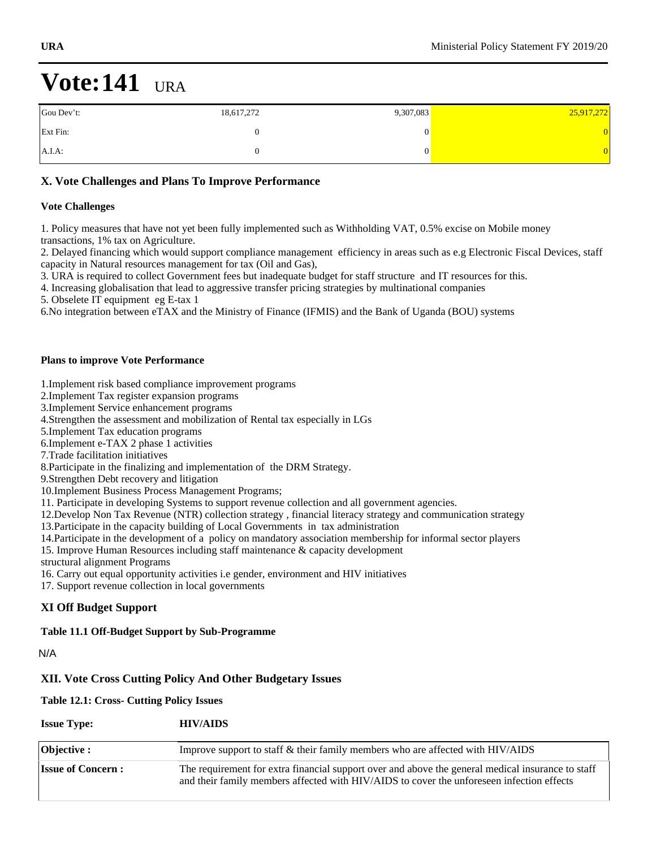| Gou Dev't: | 18,617,272 | 9,307,083 | 25,917,272 |
|------------|------------|-----------|------------|
| Ext Fin:   |            |           | 0.         |
| $A.I.A$ :  |            |           |            |

### **X. Vote Challenges and Plans To Improve Performance**

#### **Vote Challenges**

1. Policy measures that have not yet been fully implemented such as Withholding VAT, 0.5% excise on Mobile money transactions, 1% tax on Agriculture.

2. Delayed financing which would support compliance management efficiency in areas such as e.g Electronic Fiscal Devices, staff capacity in Natural resources management for tax (Oil and Gas),

3. URA is required to collect Government fees but inadequate budget for staff structure and IT resources for this.

4. Increasing globalisation that lead to aggressive transfer pricing strategies by multinational companies

5. Obselete IT equipment eg E-tax 1

6.No integration between eTAX and the Ministry of Finance (IFMIS) and the Bank of Uganda (BOU) systems

#### **Plans to improve Vote Performance**

1.Implement risk based compliance improvement programs

- 2.Implement Tax register expansion programs
- 3.Implement Service enhancement programs

4.Strengthen the assessment and mobilization of Rental tax especially in LGs

5.Implement Tax education programs

6.Implement e-TAX 2 phase 1 activities

7.Trade facilitation initiatives

8.Participate in the finalizing and implementation of the DRM Strategy.

9.Strengthen Debt recovery and litigation

- 10.Implement Business Process Management Programs;
- 11. Participate in developing Systems to support revenue collection and all government agencies.
- 12.Develop Non Tax Revenue (NTR) collection strategy , financial literacy strategy and communication strategy
- 13.Participate in the capacity building of Local Governments in tax administration
- 14.Participate in the development of a policy on mandatory association membership for informal sector players
- 15. Improve Human Resources including staff maintenance & capacity development
- structural alignment Programs
- 16. Carry out equal opportunity activities i.e gender, environment and HIV initiatives
- 17. Support revenue collection in local governments

### **XI Off Budget Support**

#### **Table 11.1 Off-Budget Support by Sub-Programme**

N/A

#### **XII. Vote Cross Cutting Policy And Other Budgetary Issues**

#### **Table 12.1: Cross- Cutting Policy Issues**

| <b>Issue Type:</b>       | <b>HIV/AIDS</b>                                                                                                                                                                                |
|--------------------------|------------------------------------------------------------------------------------------------------------------------------------------------------------------------------------------------|
| $\vert$ Objective :      | Improve support to staff & their family members who are affected with HIV/AIDS                                                                                                                 |
| <b>Issue of Concern:</b> | The requirement for extra financial support over and above the general medical insurance to staff<br>and their family members affected with HIV/AIDS to cover the unforeseen infection effects |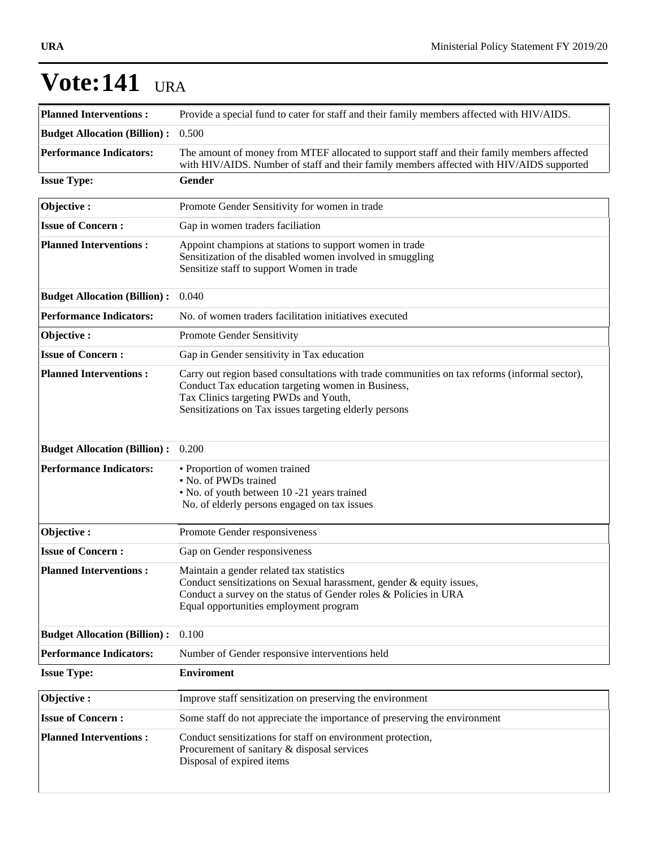| <b>Planned Interventions:</b>       | Provide a special fund to cater for staff and their family members affected with HIV/AIDS.                                                                                                                                                             |
|-------------------------------------|--------------------------------------------------------------------------------------------------------------------------------------------------------------------------------------------------------------------------------------------------------|
| <b>Budget Allocation (Billion):</b> | 0.500                                                                                                                                                                                                                                                  |
| <b>Performance Indicators:</b>      | The amount of money from MTEF allocated to support staff and their family members affected<br>with HIV/AIDS. Number of staff and their family members affected with HIV/AIDS supported                                                                 |
| <b>Issue Type:</b>                  | Gender                                                                                                                                                                                                                                                 |
| Objective:                          | Promote Gender Sensitivity for women in trade                                                                                                                                                                                                          |
| <b>Issue of Concern:</b>            | Gap in women traders faciliation                                                                                                                                                                                                                       |
| <b>Planned Interventions:</b>       | Appoint champions at stations to support women in trade<br>Sensitization of the disabled women involved in smuggling<br>Sensitize staff to support Women in trade                                                                                      |
| <b>Budget Allocation (Billion):</b> | 0.040                                                                                                                                                                                                                                                  |
| <b>Performance Indicators:</b>      | No. of women traders facilitation initiatives executed                                                                                                                                                                                                 |
| Objective:                          | Promote Gender Sensitivity                                                                                                                                                                                                                             |
| <b>Issue of Concern:</b>            | Gap in Gender sensitivity in Tax education                                                                                                                                                                                                             |
| <b>Planned Interventions:</b>       | Carry out region based consultations with trade communities on tax reforms (informal sector),<br>Conduct Tax education targeting women in Business,<br>Tax Clinics targeting PWDs and Youth,<br>Sensitizations on Tax issues targeting elderly persons |
| <b>Budget Allocation (Billion):</b> | 0.200                                                                                                                                                                                                                                                  |
| <b>Performance Indicators:</b>      | • Proportion of women trained<br>• No. of PWDs trained<br>• No. of youth between 10 -21 years trained<br>No. of elderly persons engaged on tax issues                                                                                                  |
| Objective:                          | Promote Gender responsiveness                                                                                                                                                                                                                          |
| <b>Issue of Concern:</b>            | Gap on Gender responsiveness                                                                                                                                                                                                                           |
| <b>Planned Interventions:</b>       | Maintain a gender related tax statistics<br>Conduct sensitizations on Sexual harassment, gender & equity issues,<br>Conduct a survey on the status of Gender roles & Policies in URA<br>Equal opportunities employment program                         |
| <b>Budget Allocation (Billion):</b> | 0.100                                                                                                                                                                                                                                                  |
| <b>Performance Indicators:</b>      | Number of Gender responsive interventions held                                                                                                                                                                                                         |
| <b>Issue Type:</b>                  | <b>Enviroment</b>                                                                                                                                                                                                                                      |
| Objective:                          | Improve staff sensitization on preserving the environment                                                                                                                                                                                              |
| <b>Issue of Concern:</b>            | Some staff do not appreciate the importance of preserving the environment                                                                                                                                                                              |
| <b>Planned Interventions:</b>       | Conduct sensitizations for staff on environment protection,<br>Procurement of sanitary & disposal services<br>Disposal of expired items                                                                                                                |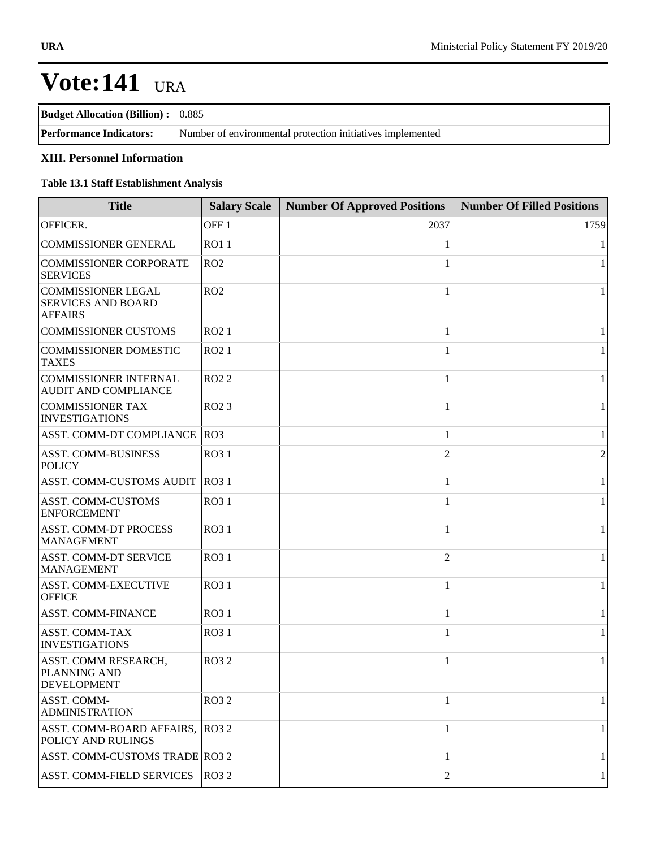**Budget Allocation (Billion) :** 0.885

| <b>Performance Indicators:</b> | Number of environmental protection initiatives implemented |
|--------------------------------|------------------------------------------------------------|
|--------------------------------|------------------------------------------------------------|

### **XIII. Personnel Information**

### **Table 13.1 Staff Establishment Analysis**

| <b>Title</b>                                                             | <b>Salary Scale</b> | <b>Number Of Approved Positions</b> | <b>Number Of Filled Positions</b> |
|--------------------------------------------------------------------------|---------------------|-------------------------------------|-----------------------------------|
| OFFICER.                                                                 | OFF <sub>1</sub>    | 2037                                | 1759                              |
| <b>COMMISSIONER GENERAL</b>                                              | <b>RO11</b>         |                                     | $\mathbf{1}$                      |
| <b>COMMISSIONER CORPORATE</b><br><b>SERVICES</b>                         | RO2                 |                                     | $\mathbf{1}$                      |
| <b>COMMISSIONER LEGAL</b><br><b>SERVICES AND BOARD</b><br><b>AFFAIRS</b> | RO2                 |                                     | $\mathbf{1}$                      |
| <b>COMMISSIONER CUSTOMS</b>                                              | RO <sub>2</sub> 1   | -1                                  | $\mathbf{1}$                      |
| <b>COMMISSIONER DOMESTIC</b><br><b>TAXES</b>                             | RO <sub>2</sub> 1   |                                     | $\mathbf{1}$                      |
| <b>COMMISSIONER INTERNAL</b><br>AUDIT AND COMPLIANCE                     | <b>RO22</b>         | $\mathbf{1}$                        | $\mathbf{1}$                      |
| <b>COMMISSIONER TAX</b><br><b>INVESTIGATIONS</b>                         | RO <sub>2</sub> 3   |                                     | $\mathbf{1}$                      |
| ASST. COMM-DT COMPLIANCE RO3                                             |                     | $\mathbf{1}$                        | $\mathbf{1}$                      |
| <b>ASST. COMM-BUSINESS</b><br><b>POLICY</b>                              | <b>RO31</b>         | $\mathfrak{D}$                      | $\overline{2}$                    |
| ASST. COMM-CUSTOMS AUDIT RO3 1                                           |                     | 1                                   | $\mathbf{1}$                      |
| <b>ASST. COMM-CUSTOMS</b><br><b>ENFORCEMENT</b>                          | <b>RO31</b>         |                                     | $\mathbf{1}$                      |
| <b>ASST. COMM-DT PROCESS</b><br><b>MANAGEMENT</b>                        | <b>RO31</b>         | 1                                   | $\,1\,$                           |
| ASST. COMM-DT SERVICE<br><b>MANAGEMENT</b>                               | <b>RO31</b>         | $\overline{2}$                      | $\mathbf{1}$                      |
| ASST. COMM-EXECUTIVE<br><b>OFFICE</b>                                    | <b>RO31</b>         |                                     | $\mathbf{1}$                      |
| ASST. COMM-FINANCE                                                       | <b>RO31</b>         | 1                                   | $\mathbf{1}$                      |
| <b>ASST. COMM-TAX</b><br><b>INVESTIGATIONS</b>                           | <b>RO31</b>         |                                     | $\mathbf{1}$                      |
| ASST. COMM RESEARCH,<br>PLANNING AND<br><b>DEVELOPMENT</b>               | <b>RO32</b>         | 1                                   | $\mathbf{1}$                      |
| ASST. COMM-<br><b>ADMINISTRATION</b>                                     | <b>RO32</b>         |                                     | 1                                 |
| ASST. COMM-BOARD AFFAIRS,<br>POLICY AND RULINGS                          | RO32                |                                     | $\mathbf{1}$                      |
| ASST. COMM-CUSTOMS TRADE RO3 2                                           |                     | 1                                   | $\mathbf{1}$                      |
| <b>ASST. COMM-FIELD SERVICES</b>                                         | RO32                | $\overline{c}$                      | $\mathbf{1}$                      |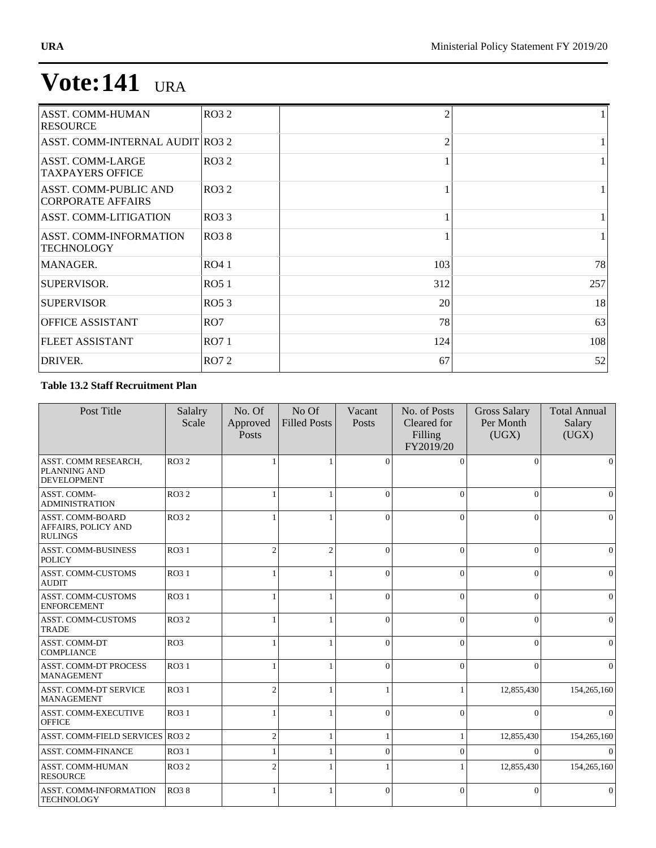| <b>ASST. COMM-HUMAN</b><br><b>RESOURCE</b>         | <b>RO32</b>     | 2              |     |
|----------------------------------------------------|-----------------|----------------|-----|
| ASST. COMM-INTERNAL AUDIT RO3 2                    |                 | $\overline{2}$ |     |
| <b>ASST. COMM-LARGE</b><br><b>TAXPAYERS OFFICE</b> | RO32            |                |     |
| ASST. COMM-PUBLIC AND<br><b>CORPORATE AFFAIRS</b>  | RO32            |                |     |
| <b>ASST. COMM-LITIGATION</b>                       | RO33            |                |     |
| ASST. COMM-INFORMATION<br><b>TECHNOLOGY</b>        | RO38            |                |     |
| MANAGER.                                           | RO4 1           | 103            | 78  |
| SUPERVISOR.                                        | RO51            | 312            | 257 |
| <b>SUPERVISOR</b>                                  | RO53            | 20             | 18  |
| <b>OFFICE ASSISTANT</b>                            | RO <sub>7</sub> | 78             | 63  |
| <b>FLEET ASSISTANT</b>                             | RO71            | 124            | 108 |
| DRIVER.                                            | RO72            | 67             | 52  |

### **Table 13.2 Staff Recruitment Plan**

| Post Title                                                       | Salalry<br>Scale | No. Of<br>Approved<br>Posts | No Of<br><b>Filled Posts</b> | Vacant<br>Posts | No. of Posts<br>Cleared for<br>Filling<br>FY2019/20 | <b>Gross Salary</b><br>Per Month<br>(UGX) | <b>Total Annual</b><br>Salary<br>(UGX) |
|------------------------------------------------------------------|------------------|-----------------------------|------------------------------|-----------------|-----------------------------------------------------|-------------------------------------------|----------------------------------------|
| ASST. COMM RESEARCH,<br>PLANNING AND<br><b>DEVELOPMENT</b>       | <b>RO32</b>      |                             |                              | $\Omega$        | $\Omega$                                            | $\Omega$                                  | $\mathbf{0}$                           |
| ASST. COMM-<br><b>ADMINISTRATION</b>                             | <b>RO32</b>      |                             |                              | $\Omega$        | $\Omega$                                            | $\theta$                                  | $\mathbf{0}$                           |
| <b>ASST. COMM-BOARD</b><br>AFFAIRS, POLICY AND<br><b>RULINGS</b> | <b>RO32</b>      |                             |                              | $\Omega$        | $\Omega$                                            | $\theta$                                  | $\mathbf{0}$                           |
| <b>ASST. COMM-BUSINESS</b><br><b>POLICY</b>                      | RO3 1            | $\overline{c}$              | $\mathfrak{2}$               | $\Omega$        | $\Omega$                                            | $\overline{0}$                            | $\mathbf{0}$                           |
| <b>ASST. COMM-CUSTOMS</b><br><b>AUDIT</b>                        | RO3 1            |                             | $\mathbf{1}$                 | $\Omega$        | $\theta$                                            | $\overline{0}$                            | $\mathbf{0}$                           |
| <b>ASST. COMM-CUSTOMS</b><br><b>ENFORCEMENT</b>                  | RO3 1            |                             | 1                            | $\Omega$        | $\Omega$                                            | $\theta$                                  | $\mathbf{0}$                           |
| <b>ASST. COMM-CUSTOMS</b><br><b>TRADE</b>                        | <b>RO32</b>      |                             |                              | $\Omega$        | $\Omega$                                            | $\theta$                                  | $\mathbf{0}$                           |
| <b>ASST. COMM-DT</b><br><b>COMPLIANCE</b>                        | RO3              |                             |                              | $\Omega$        | $\Omega$                                            | $\theta$                                  | $\mathbf{0}$                           |
| <b>ASST. COMM-DT PROCESS</b><br><b>MANAGEMENT</b>                | RO3 1            |                             | 1                            | $\Omega$        | $\Omega$                                            | $\Omega$                                  | $\Omega$                               |
| <b>ASST. COMM-DT SERVICE</b><br><b>MANAGEMENT</b>                | RO3 1            | $\overline{c}$              |                              |                 |                                                     | 12,855,430                                | 154,265,160                            |
| ASST. COMM-EXECUTIVE<br><b>OFFICE</b>                            | RO3 1            |                             |                              | $\Omega$        | $\Omega$                                            | $\Omega$                                  | $\mathbf{0}$                           |
| ASST. COMM-FIELD SERVICES RO3 2                                  |                  | $\overline{2}$              |                              |                 |                                                     | 12,855,430                                | 154,265,160                            |
| <b>ASST. COMM-FINANCE</b>                                        | RO3 1            |                             |                              | $\Omega$        | $\Omega$                                            | $\Omega$                                  | $\mathbf{0}$                           |
| ASST. COMM-HUMAN<br><b>RESOURCE</b>                              | <b>RO32</b>      | 2                           |                              |                 |                                                     | 12,855,430                                | 154,265,160                            |
| <b>ASST. COMM-INFORMATION</b><br><b>TECHNOLOGY</b>               | <b>RO38</b>      |                             | 1                            | $\mathbf{0}$    | $\theta$                                            | $\overline{0}$                            | $\mathbf{0}$                           |